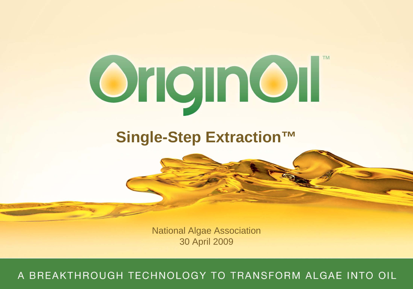

## **Single-Step Extraction™**

National Algae Association 30 April 2009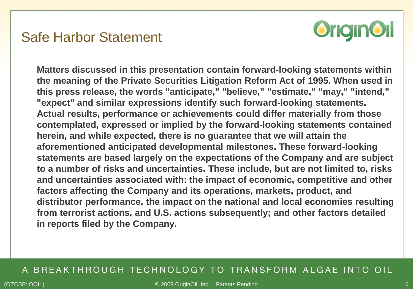### Safe Harbor Statement



**Matters discussed in this presentation contain forward-looking statements within the meaning of the Private Securities Litigation Reform Act of 1995. When used in this press release, the words "anticipate," "believe," "estimate," "may," "intend," "expect" and similar expressions identify such forward-looking statements. Actual results, performance or achievements could differ materially from those contemplated, expressed or implied by the forward-looking statements contained herein, and while expected, there is no guarantee that we will attain the aforementioned anticipated developmental milestones. These forward-looking statements are based largely on the expectations of the Company and are subject to a number of risks and uncertainties. These include, but are not limited to, risks and uncertainties associated with: the impact of economic, competitive and other factors affecting the Company and its operations, markets, product, and distributor performance, the impact on the national and local economies resulting from terrorist actions, and U.S. actions subsequently; and other factors detailed in reports filed by the Company.**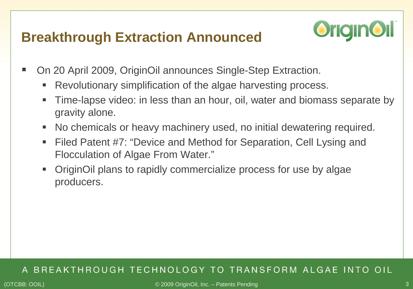### **Breakthrough Extraction Announced**



- On 20 April 2009, OriginOil announces Single-Step Extraction.
	- Revolutionary simplification of the algae harvesting process.
	- Time-lapse video: in less than an hour, oil, water and biomass separate by gravity alone.
	- No chemicals or heavy machinery used, no initial dewatering required.
	- Filed Patent #7: "Device and Method for Separation, Cell Lysing and Flocculation of Algae From Water."
	- OriginOil plans to rapidly commercialize process for use by algae producers.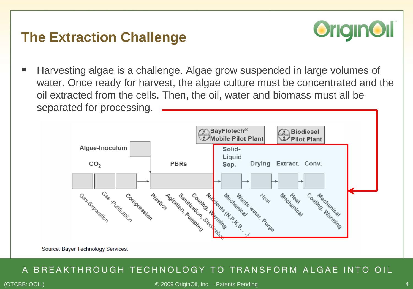### **The Extraction Challenge**



■ Harvesting algae is a challenge. Algae grow suspended in large volumes of water. Once ready for harvest, the algae culture must be concentrated and the oil extracted from the cells. Then, the oil, water and biomass must all be separated for processing.



Source: Bayer Technology Services.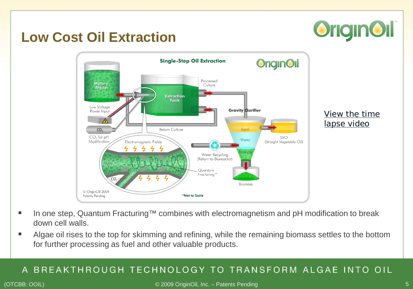# **OriginOil**

### **Low Cost Oil Extraction**



- In one step, Quantum Fracturing™ combines with electromagnetism and pH modification to break down cell walls.
- Algae oil rises to the top for skimming and refining, while the remaining biomass settles to the bottom for further processing as fuel and other valuable products.

#### BREAKTHROUGH TECHNOLOGY TO TRANSFORM ALGAE INTO OIL A

#### (OTCBB: OOIL) © 2009 OriginOil, Inc. – Patents Pending 5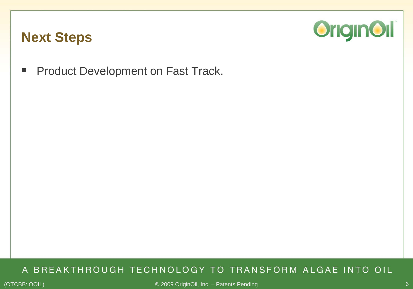### **Next Steps**



**Product Development on Fast Track.**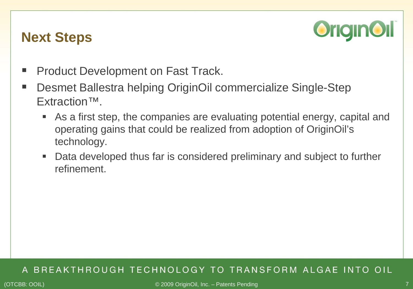### **Next Steps**



- Product Development on Fast Track.
- Desmet Ballestra helping OriginOil commercialize Single-Step Extraction™.
	- As a first step, the companies are evaluating potential energy, capital and operating gains that could be realized from adoption of OriginOil's technology.
	- Data developed thus far is considered preliminary and subject to further refinement.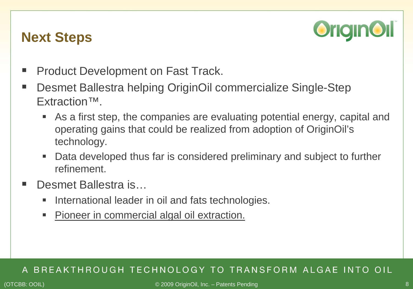### **Next Steps**



- Product Development on Fast Track.
- Desmet Ballestra helping OriginOil commercialize Single-Step Extraction™.
	- As a first step, the companies are evaluating potential energy, capital and operating gains that could be realized from adoption of OriginOil's technology.
	- Data developed thus far is considered preliminary and subject to further refinement.
- Desmet Ballestra is…
	- International leader in oil and fats technologies.
	- Pioneer in commercial algal oil extraction.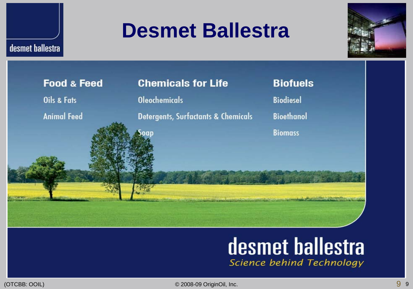# **Desmet Ballestra**





## desmet ballestra Science behind Technology

desmet ballestra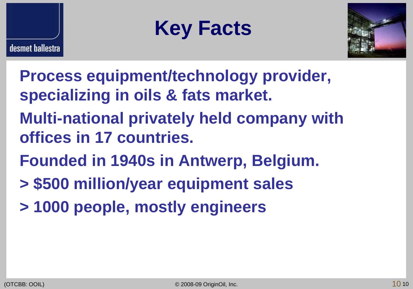





- **Process equipment/technology provider, specializing in oils & fats market.**
- **Multi-national privately held company with offices in 17 countries.**
- **Founded in 1940s in Antwerp, Belgium.**
- **> \$500 million/year equipment sales**
- **> 1000 people, mostly engineers**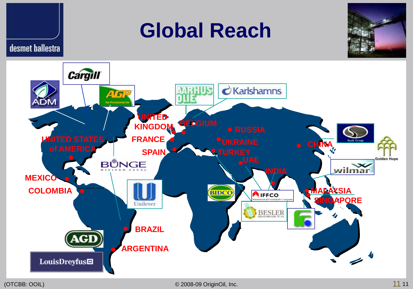





desmet ballestra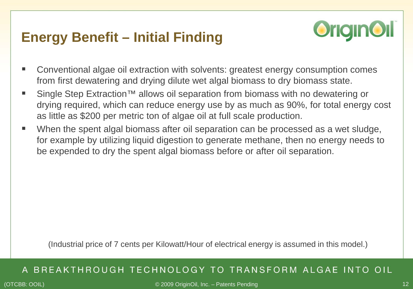## **Energy Benefit – Initial Finding**



- Conventional algae oil extraction with solvents: greatest energy consumption comes from first dewatering and drying dilute wet algal biomass to dry biomass state.
- Single Step Extraction<sup>™</sup> allows oil separation from biomass with no dewatering or drying required, which can reduce energy use by as much as 90%, for total energy cost as little as \$200 per metric ton of algae oil at full scale production.
- When the spent algal biomass after oil separation can be processed as a wet sludge, for example by utilizing liquid digestion to generate methane, then no energy needs to be expended to dry the spent algal biomass before or after oil separation.

(Industrial price of 7 cents per Kilowatt/Hour of electrical energy is assumed in this model.)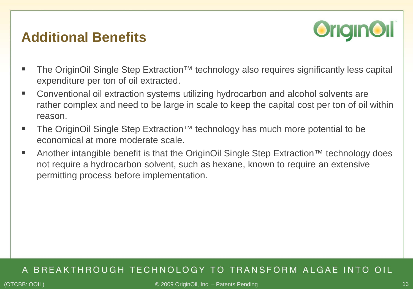### **Additional Benefits**



- The OriginOil Single Step Extraction™ technology also requires significantly less capital expenditure per ton of oil extracted.
- Conventional oil extraction systems utilizing hydrocarbon and alcohol solvents are rather complex and need to be large in scale to keep the capital cost per ton of oil within reason.
- The OriginOil Single Step Extraction™ technology has much more potential to be economical at more moderate scale.
- Another intangible benefit is that the OriginOil Single Step Extraction<sup>™</sup> technology does not require a hydrocarbon solvent, such as hexane, known to require an extensive permitting process before implementation.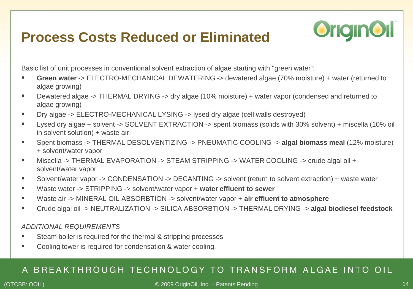## **Process Costs Reduced or Eliminated**



Basic list of unit processes in conventional solvent extraction of algae starting with "green water":

- **Green water** -> ELECTRO-MECHANICAL DEWATERING -> dewatered algae (70% moisture) + water (returned to algae growing)
- Dewatered algae -> THERMAL DRYING -> dry algae (10% moisture) + water vapor (condensed and returned to algae growing)
- Dry algae -> ELECTRO-MECHANICAL LYSING -> lysed dry algae (cell walls destroyed)
- Lysed dry algae + solvent -> SOLVENT EXTRACTION -> spent biomass (solids with 30% solvent) + miscella (10% oil in solvent solution) + waste air
- Spent biomass -> THERMAL DESOLVENTIZING -> PNEUMATIC COOLING -> **algal biomass meal** (12% moisture) + solvent/water vapor
- Miscella -> THERMAL EVAPORATION -> STEAM STRIPPING -> WATER COOLING -> crude algal oil + solvent/water vapor
- Solvent/water vapor -> CONDENSATION -> DECANTING -> solvent (return to solvent extraction) + waste water
- Waste water -> STRIPPING -> solvent/water vapor + water effluent to sewer
- Waste air -> MINERAL OIL ABSORBTION -> solvent/water vapor + **air effluent to atmosphere**
- Crude algal oil -> NEUTRALIZATION -> SILICA ABSORBTION -> THERMAL DRYING -> **algal biodiesel feedstock**

#### *ADDITIONAL REQUIREMENTS*

- Steam boiler is required for the thermal & stripping processes
- Cooling tower is required for condensation & water cooling.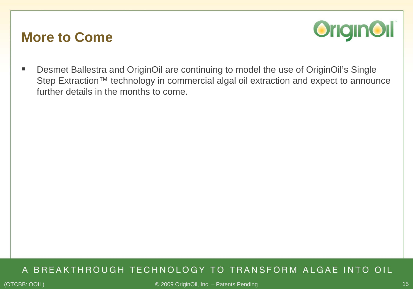### **More to Come**



■ Desmet Ballestra and OriginOil are continuing to model the use of OriginOil's Single Step Extraction™ technology in commercial algal oil extraction and expect to announce further details in the months to come.